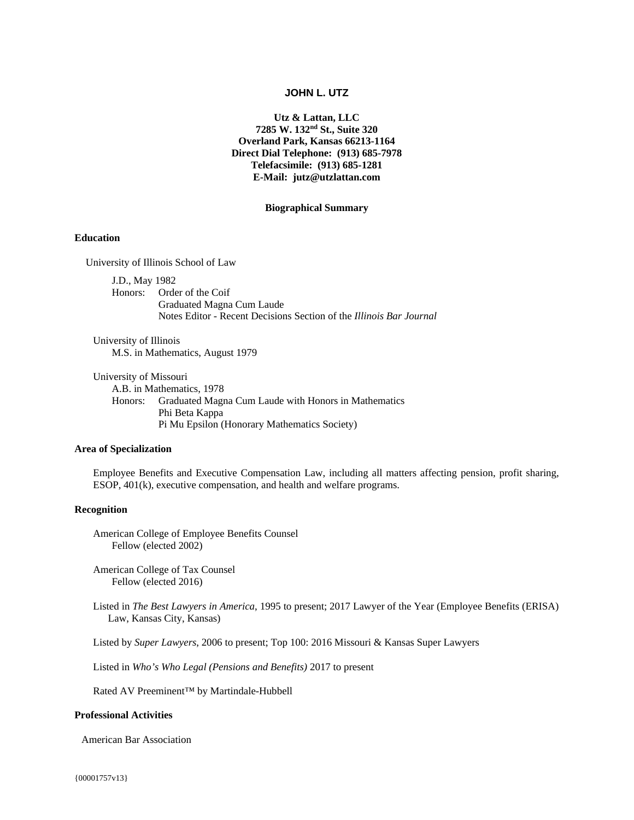# **JOHN L. UTZ**

**Utz & Lattan, LLC 7285 W. 132nd St., Suite 320 Overland Park, Kansas 66213-1164 Direct Dial Telephone: (913) 685-7978 Telefacsimile: (913) 685-1281 E-Mail: jutz@utzlattan.com** 

#### **Biographical Summary**

## **Education**

University of Illinois School of Law

J.D., May 1982 Honors: Order of the Coif Graduated Magna Cum Laude Notes Editor - Recent Decisions Section of the *Illinois Bar Journal*

University of Illinois M.S. in Mathematics, August 1979

University of Missouri A.B. in Mathematics, 1978 Honors: Graduated Magna Cum Laude with Honors in Mathematics Phi Beta Kappa Pi Mu Epsilon (Honorary Mathematics Society)

### **Area of Specialization**

Employee Benefits and Executive Compensation Law, including all matters affecting pension, profit sharing, ESOP, 401(k), executive compensation, and health and welfare programs.

## **Recognition**

American College of Employee Benefits Counsel Fellow (elected 2002)

 American College of Tax Counsel Fellow (elected 2016)

Listed in *The Best Lawyers in America*, 1995 to present; 2017 Lawyer of the Year (Employee Benefits (ERISA) Law, Kansas City, Kansas)

Listed by *Super Lawyers*, 2006 to present; Top 100: 2016 Missouri & Kansas Super Lawyers

Listed in *Who's Who Legal (Pensions and Benefits)* 2017 to present

Rated AV Preeminent™ by Martindale-Hubbell

#### **Professional Activities**

American Bar Association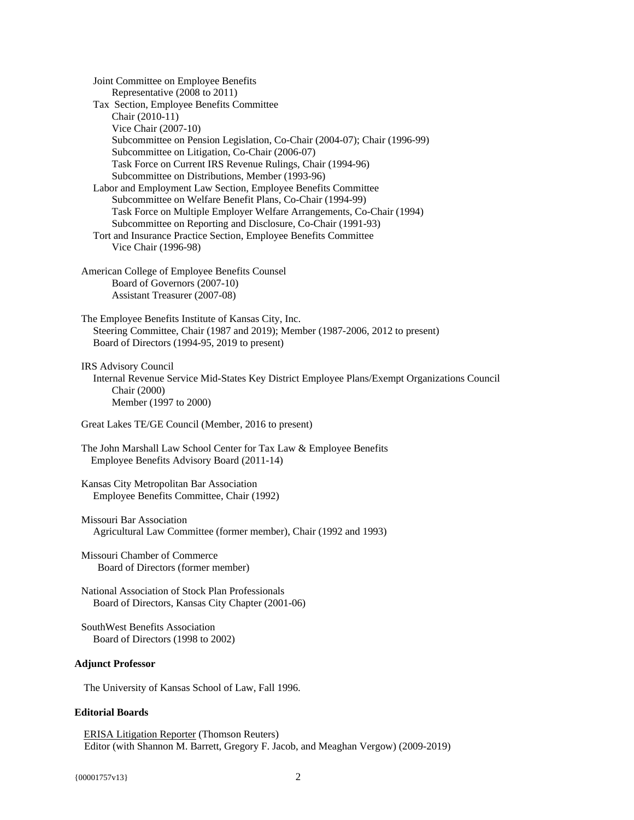Joint Committee on Employee Benefits Representative (2008 to 2011) Tax Section, Employee Benefits Committee Chair (2010-11) Vice Chair (2007-10) Subcommittee on Pension Legislation, Co-Chair (2004-07); Chair (1996-99) Subcommittee on Litigation, Co-Chair (2006-07) Task Force on Current IRS Revenue Rulings, Chair (1994-96) Subcommittee on Distributions, Member (1993-96) Labor and Employment Law Section, Employee Benefits Committee Subcommittee on Welfare Benefit Plans, Co-Chair (1994-99) Task Force on Multiple Employer Welfare Arrangements, Co-Chair (1994) Subcommittee on Reporting and Disclosure, Co-Chair (1991-93) Tort and Insurance Practice Section, Employee Benefits Committee Vice Chair (1996-98) American College of Employee Benefits Counsel Board of Governors (2007-10) Assistant Treasurer (2007-08) The Employee Benefits Institute of Kansas City, Inc. Steering Committee, Chair (1987 and 2019); Member (1987-2006, 2012 to present) Board of Directors (1994-95, 2019 to present) IRS Advisory Council Internal Revenue Service Mid-States Key District Employee Plans/Exempt Organizations Council Chair (2000) Member (1997 to 2000) Great Lakes TE/GE Council (Member, 2016 to present) The John Marshall Law School Center for Tax Law & Employee Benefits Employee Benefits Advisory Board (2011-14) Kansas City Metropolitan Bar Association Employee Benefits Committee, Chair (1992) Missouri Bar Association Agricultural Law Committee (former member), Chair (1992 and 1993) Missouri Chamber of Commerce Board of Directors (former member) National Association of Stock Plan Professionals Board of Directors, Kansas City Chapter (2001-06) SouthWest Benefits Association Board of Directors (1998 to 2002) **Adjunct Professor** The University of Kansas School of Law, Fall 1996.

# **Editorial Boards**

ERISA Litigation Reporter (Thomson Reuters) Editor (with Shannon M. Barrett, Gregory F. Jacob, and Meaghan Vergow) (2009-2019)

{00001757v13} 2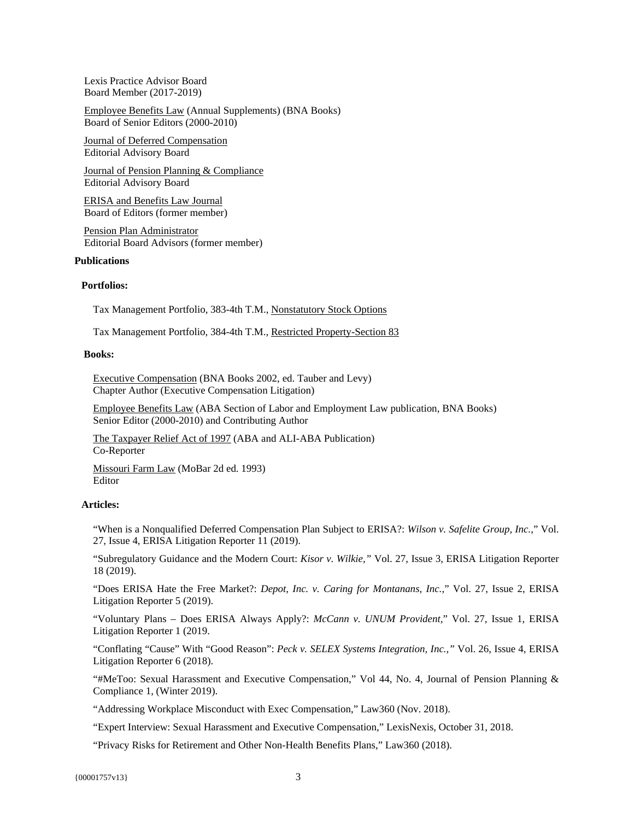Lexis Practice Advisor Board Board Member (2017-2019)

Employee Benefits Law (Annual Supplements) (BNA Books) Board of Senior Editors (2000-2010)

Journal of Deferred Compensation Editorial Advisory Board

Journal of Pension Planning & Compliance Editorial Advisory Board

ERISA and Benefits Law Journal Board of Editors (former member)

Pension Plan Administrator Editorial Board Advisors (former member)

## **Publications**

## **Portfolios:**

Tax Management Portfolio, 383-4th T.M., Nonstatutory Stock Options

Tax Management Portfolio, 384-4th T.M., Restricted Property-Section 83

## **Books:**

Executive Compensation (BNA Books 2002, ed. Tauber and Levy) Chapter Author (Executive Compensation Litigation)

Employee Benefits Law (ABA Section of Labor and Employment Law publication, BNA Books) Senior Editor (2000-2010) and Contributing Author

The Taxpayer Relief Act of 1997 (ABA and ALI-ABA Publication) Co-Reporter

Missouri Farm Law (MoBar 2d ed. 1993) Editor

# **Articles:**

"When is a Nonqualified Deferred Compensation Plan Subject to ERISA?: *Wilson v. Safelite Group, Inc.,*" Vol. 27, Issue 4, ERISA Litigation Reporter 11 (2019).

"Subregulatory Guidance and the Modern Court: *Kisor v. Wilkie,"* Vol. 27, Issue 3, ERISA Litigation Reporter 18 (2019).

"Does ERISA Hate the Free Market?: *Depot, Inc. v. Caring for Montanans, Inc.*," Vol. 27, Issue 2, ERISA Litigation Reporter 5 (2019).

"Voluntary Plans – Does ERISA Always Apply?: *McCann v. UNUM Provident,*" Vol. 27, Issue 1, ERISA Litigation Reporter 1 (2019.

"Conflating "Cause" With "Good Reason": *Peck v. SELEX Systems Integration, Inc.,"* Vol. 26, Issue 4, ERISA Litigation Reporter 6 (2018).

"#MeToo: Sexual Harassment and Executive Compensation," Vol 44, No. 4, Journal of Pension Planning & Compliance 1, (Winter 2019).

"Addressing Workplace Misconduct with Exec Compensation," Law360 (Nov. 2018).

"Expert Interview: Sexual Harassment and Executive Compensation," LexisNexis, October 31, 2018.

"Privacy Risks for Retirement and Other Non-Health Benefits Plans," Law360 (2018).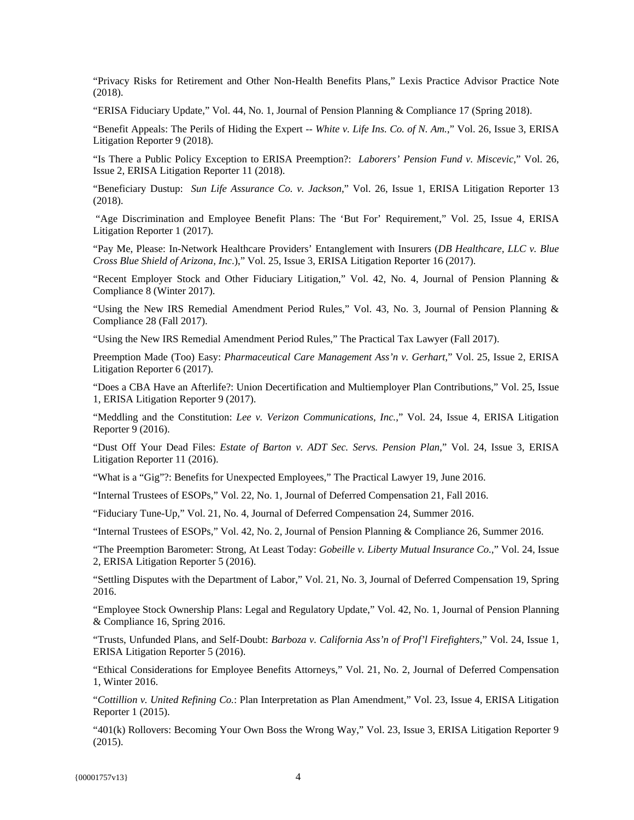"Privacy Risks for Retirement and Other Non-Health Benefits Plans," Lexis Practice Advisor Practice Note (2018).

"ERISA Fiduciary Update," Vol. 44, No. 1, Journal of Pension Planning & Compliance 17 (Spring 2018).

"Benefit Appeals: The Perils of Hiding the Expert -- *White v. Life Ins. Co. of N. Am.*," Vol. 26, Issue 3, ERISA Litigation Reporter 9 (2018).

"Is There a Public Policy Exception to ERISA Preemption?: *Laborers' Pension Fund v. Miscevic*," Vol. 26, Issue 2, ERISA Litigation Reporter 11 (2018).

"Beneficiary Dustup: *Sun Life Assurance Co. v. Jackson*," Vol. 26, Issue 1, ERISA Litigation Reporter 13 (2018).

 "Age Discrimination and Employee Benefit Plans: The 'But For' Requirement," Vol. 25, Issue 4, ERISA Litigation Reporter 1 (2017).

"Pay Me, Please: In-Network Healthcare Providers' Entanglement with Insurers (*DB Healthcare, LLC v. Blue Cross Blue Shield of Arizona, Inc*.)," Vol. 25, Issue 3, ERISA Litigation Reporter 16 (2017).

"Recent Employer Stock and Other Fiduciary Litigation," Vol. 42, No. 4, Journal of Pension Planning & Compliance 8 (Winter 2017).

"Using the New IRS Remedial Amendment Period Rules," Vol. 43, No. 3, Journal of Pension Planning & Compliance 28 (Fall 2017).

"Using the New IRS Remedial Amendment Period Rules," The Practical Tax Lawyer (Fall 2017).

Preemption Made (Too) Easy: *Pharmaceutical Care Management Ass'n v. Gerhart*," Vol. 25, Issue 2, ERISA Litigation Reporter 6 (2017).

"Does a CBA Have an Afterlife?: Union Decertification and Multiemployer Plan Contributions," Vol. 25, Issue 1, ERISA Litigation Reporter 9 (2017).

"Meddling and the Constitution: *Lee v. Verizon Communications, Inc.*," Vol. 24, Issue 4, ERISA Litigation Reporter 9 (2016).

"Dust Off Your Dead Files: *Estate of Barton v. ADT Sec. Servs. Pension Plan*," Vol. 24, Issue 3, ERISA Litigation Reporter 11 (2016).

"What is a "Gig"?: Benefits for Unexpected Employees," The Practical Lawyer 19, June 2016.

"Internal Trustees of ESOPs," Vol. 22, No. 1, Journal of Deferred Compensation 21, Fall 2016.

"Fiduciary Tune-Up," Vol. 21, No. 4, Journal of Deferred Compensation 24, Summer 2016.

"Internal Trustees of ESOPs," Vol. 42, No. 2, Journal of Pension Planning & Compliance 26, Summer 2016.

"The Preemption Barometer: Strong, At Least Today: *Gobeille v. Liberty Mutual Insurance Co.*," Vol. 24, Issue 2, ERISA Litigation Reporter 5 (2016).

"Settling Disputes with the Department of Labor," Vol. 21, No. 3, Journal of Deferred Compensation 19, Spring 2016.

"Employee Stock Ownership Plans: Legal and Regulatory Update," Vol. 42, No. 1, Journal of Pension Planning & Compliance 16, Spring 2016.

"Trusts, Unfunded Plans, and Self-Doubt: *Barboza v. California Ass'n of Prof'l Firefighters*," Vol. 24, Issue 1, ERISA Litigation Reporter 5 (2016).

"Ethical Considerations for Employee Benefits Attorneys," Vol. 21, No. 2, Journal of Deferred Compensation 1, Winter 2016.

"*Cottillion v. United Refining Co.*: Plan Interpretation as Plan Amendment," Vol. 23, Issue 4, ERISA Litigation Reporter 1 (2015).

"401(k) Rollovers: Becoming Your Own Boss the Wrong Way," Vol. 23, Issue 3, ERISA Litigation Reporter 9 (2015).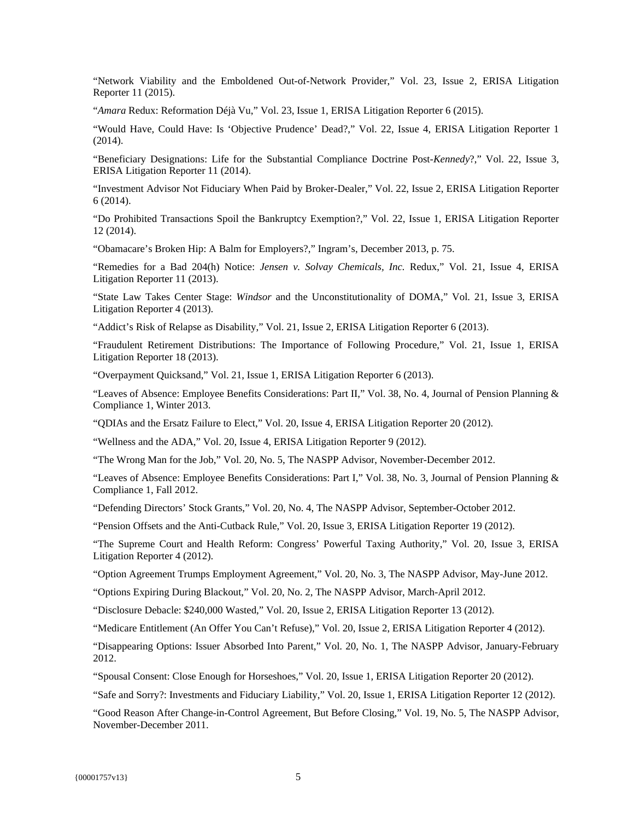"Network Viability and the Emboldened Out-of-Network Provider," Vol. 23, Issue 2, ERISA Litigation Reporter 11 (2015).

"*Amara* Redux: Reformation Déjà Vu," Vol. 23, Issue 1, ERISA Litigation Reporter 6 (2015).

"Would Have, Could Have: Is 'Objective Prudence' Dead?," Vol. 22, Issue 4, ERISA Litigation Reporter 1 (2014).

"Beneficiary Designations: Life for the Substantial Compliance Doctrine Post-*Kennedy*?," Vol. 22, Issue 3, ERISA Litigation Reporter 11 (2014).

"Investment Advisor Not Fiduciary When Paid by Broker-Dealer," Vol. 22, Issue 2, ERISA Litigation Reporter 6 (2014).

"Do Prohibited Transactions Spoil the Bankruptcy Exemption?," Vol. 22, Issue 1, ERISA Litigation Reporter 12 (2014).

"Obamacare's Broken Hip: A Balm for Employers?," Ingram's, December 2013, p. 75.

"Remedies for a Bad 204(h) Notice: *Jensen v. Solvay Chemicals, Inc.* Redux," Vol. 21, Issue 4, ERISA Litigation Reporter 11 (2013).

"State Law Takes Center Stage: *Windsor* and the Unconstitutionality of DOMA," Vol. 21, Issue 3, ERISA Litigation Reporter 4 (2013).

"Addict's Risk of Relapse as Disability," Vol. 21, Issue 2, ERISA Litigation Reporter 6 (2013).

"Fraudulent Retirement Distributions: The Importance of Following Procedure," Vol. 21, Issue 1, ERISA Litigation Reporter 18 (2013).

"Overpayment Quicksand," Vol. 21, Issue 1, ERISA Litigation Reporter 6 (2013).

"Leaves of Absence: Employee Benefits Considerations: Part II," Vol. 38, No. 4, Journal of Pension Planning & Compliance 1, Winter 2013.

"QDIAs and the Ersatz Failure to Elect," Vol. 20, Issue 4, ERISA Litigation Reporter 20 (2012).

"Wellness and the ADA," Vol. 20, Issue 4, ERISA Litigation Reporter 9 (2012).

"The Wrong Man for the Job," Vol. 20, No. 5, The NASPP Advisor, November-December 2012.

"Leaves of Absence: Employee Benefits Considerations: Part I," Vol. 38, No. 3, Journal of Pension Planning & Compliance 1, Fall 2012.

"Defending Directors' Stock Grants," Vol. 20, No. 4, The NASPP Advisor, September-October 2012.

"Pension Offsets and the Anti-Cutback Rule," Vol. 20, Issue 3, ERISA Litigation Reporter 19 (2012).

"The Supreme Court and Health Reform: Congress' Powerful Taxing Authority," Vol. 20, Issue 3, ERISA Litigation Reporter 4 (2012).

"Option Agreement Trumps Employment Agreement," Vol. 20, No. 3, The NASPP Advisor, May-June 2012.

"Options Expiring During Blackout," Vol. 20, No. 2, The NASPP Advisor, March-April 2012.

"Disclosure Debacle: \$240,000 Wasted," Vol. 20, Issue 2, ERISA Litigation Reporter 13 (2012).

"Medicare Entitlement (An Offer You Can't Refuse)," Vol. 20, Issue 2, ERISA Litigation Reporter 4 (2012).

"Disappearing Options: Issuer Absorbed Into Parent," Vol. 20, No. 1, The NASPP Advisor, January-February 2012.

"Spousal Consent: Close Enough for Horseshoes," Vol. 20, Issue 1, ERISA Litigation Reporter 20 (2012).

"Safe and Sorry?: Investments and Fiduciary Liability," Vol. 20, Issue 1, ERISA Litigation Reporter 12 (2012).

"Good Reason After Change-in-Control Agreement, But Before Closing," Vol. 19, No. 5, The NASPP Advisor, November-December 2011.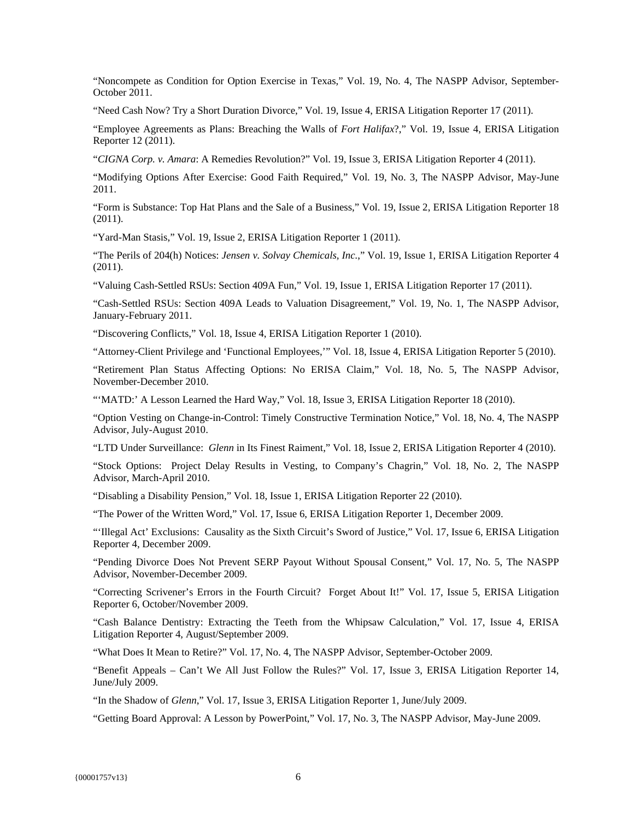"Noncompete as Condition for Option Exercise in Texas," Vol. 19, No. 4, The NASPP Advisor, September-October 2011.

"Need Cash Now? Try a Short Duration Divorce," Vol. 19, Issue 4, ERISA Litigation Reporter 17 (2011).

"Employee Agreements as Plans: Breaching the Walls of *Fort Halifax*?," Vol. 19, Issue 4, ERISA Litigation Reporter 12 (2011).

"*CIGNA Corp. v. Amara*: A Remedies Revolution?" Vol. 19, Issue 3, ERISA Litigation Reporter 4 (2011).

"Modifying Options After Exercise: Good Faith Required," Vol. 19, No. 3, The NASPP Advisor, May-June 2011.

"Form is Substance: Top Hat Plans and the Sale of a Business," Vol. 19, Issue 2, ERISA Litigation Reporter 18 (2011).

"Yard-Man Stasis," Vol. 19, Issue 2, ERISA Litigation Reporter 1 (2011).

"The Perils of 204(h) Notices: *Jensen v. Solvay Chemicals, Inc.*," Vol. 19, Issue 1, ERISA Litigation Reporter 4 (2011).

"Valuing Cash-Settled RSUs: Section 409A Fun," Vol. 19, Issue 1, ERISA Litigation Reporter 17 (2011).

"Cash-Settled RSUs: Section 409A Leads to Valuation Disagreement," Vol. 19, No. 1, The NASPP Advisor, January-February 2011.

"Discovering Conflicts," Vol. 18, Issue 4, ERISA Litigation Reporter 1 (2010).

"Attorney-Client Privilege and 'Functional Employees,'" Vol. 18, Issue 4, ERISA Litigation Reporter 5 (2010).

"Retirement Plan Status Affecting Options: No ERISA Claim," Vol. 18, No. 5, The NASPP Advisor, November-December 2010.

"'MATD:' A Lesson Learned the Hard Way," Vol. 18, Issue 3, ERISA Litigation Reporter 18 (2010).

"Option Vesting on Change-in-Control: Timely Constructive Termination Notice," Vol. 18, No. 4, The NASPP Advisor, July-August 2010.

"LTD Under Surveillance: *Glenn* in Its Finest Raiment," Vol. 18, Issue 2, ERISA Litigation Reporter 4 (2010).

"Stock Options: Project Delay Results in Vesting, to Company's Chagrin," Vol. 18, No. 2, The NASPP Advisor, March-April 2010.

"Disabling a Disability Pension," Vol. 18, Issue 1, ERISA Litigation Reporter 22 (2010).

"The Power of the Written Word," Vol. 17, Issue 6, ERISA Litigation Reporter 1, December 2009.

"'Illegal Act' Exclusions: Causality as the Sixth Circuit's Sword of Justice," Vol. 17, Issue 6, ERISA Litigation Reporter 4, December 2009.

"Pending Divorce Does Not Prevent SERP Payout Without Spousal Consent," Vol. 17, No. 5, The NASPP Advisor, November-December 2009.

"Correcting Scrivener's Errors in the Fourth Circuit? Forget About It!" Vol. 17, Issue 5, ERISA Litigation Reporter 6, October/November 2009.

"Cash Balance Dentistry: Extracting the Teeth from the Whipsaw Calculation," Vol. 17, Issue 4, ERISA Litigation Reporter 4, August/September 2009.

"What Does It Mean to Retire?" Vol. 17, No. 4, The NASPP Advisor, September-October 2009.

"Benefit Appeals – Can't We All Just Follow the Rules?" Vol. 17, Issue 3, ERISA Litigation Reporter 14, June/July 2009.

"In the Shadow of *Glenn*," Vol. 17, Issue 3, ERISA Litigation Reporter 1, June/July 2009.

"Getting Board Approval: A Lesson by PowerPoint," Vol. 17, No. 3, The NASPP Advisor, May-June 2009.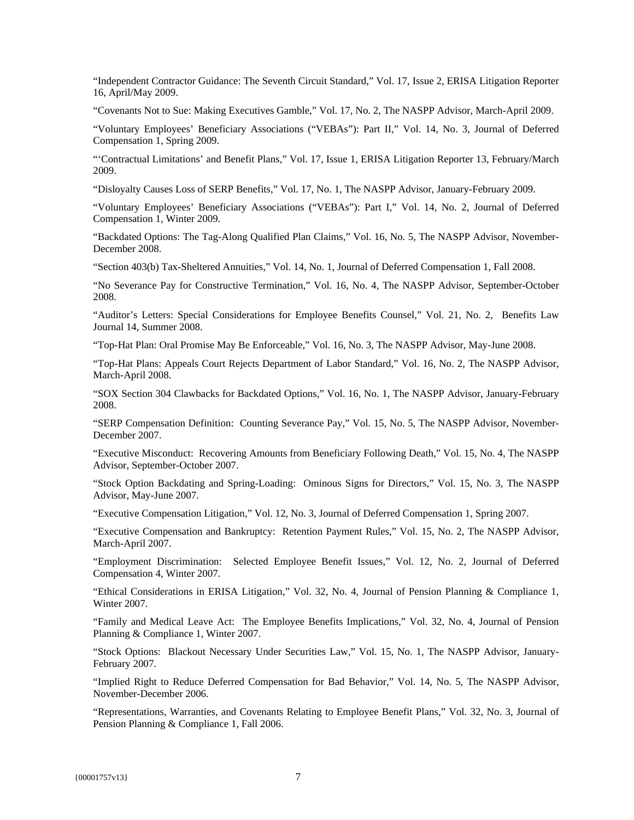"Independent Contractor Guidance: The Seventh Circuit Standard," Vol. 17, Issue 2, ERISA Litigation Reporter 16, April/May 2009.

"Covenants Not to Sue: Making Executives Gamble," Vol. 17, No. 2, The NASPP Advisor, March-April 2009.

"Voluntary Employees' Beneficiary Associations ("VEBAs"): Part II," Vol. 14, No. 3, Journal of Deferred Compensation 1, Spring 2009.

"'Contractual Limitations' and Benefit Plans," Vol. 17, Issue 1, ERISA Litigation Reporter 13, February/March 2009.

"Disloyalty Causes Loss of SERP Benefits," Vol. 17, No. 1, The NASPP Advisor, January-February 2009.

"Voluntary Employees' Beneficiary Associations ("VEBAs"): Part I," Vol. 14, No. 2, Journal of Deferred Compensation 1, Winter 2009.

"Backdated Options: The Tag-Along Qualified Plan Claims," Vol. 16, No. 5, The NASPP Advisor, November-December 2008.

"Section 403(b) Tax-Sheltered Annuities," Vol. 14, No. 1, Journal of Deferred Compensation 1, Fall 2008.

"No Severance Pay for Constructive Termination," Vol. 16, No. 4, The NASPP Advisor, September-October 2008.

"Auditor's Letters: Special Considerations for Employee Benefits Counsel," Vol. 21, No. 2, Benefits Law Journal 14, Summer 2008.

"Top-Hat Plan: Oral Promise May Be Enforceable," Vol. 16, No. 3, The NASPP Advisor, May-June 2008.

"Top-Hat Plans: Appeals Court Rejects Department of Labor Standard," Vol. 16, No. 2, The NASPP Advisor, March-April 2008.

"SOX Section 304 Clawbacks for Backdated Options," Vol. 16, No. 1, The NASPP Advisor, January-February 2008.

"SERP Compensation Definition: Counting Severance Pay," Vol. 15, No. 5, The NASPP Advisor, November-December 2007.

"Executive Misconduct: Recovering Amounts from Beneficiary Following Death," Vol. 15, No. 4, The NASPP Advisor, September-October 2007.

"Stock Option Backdating and Spring-Loading: Ominous Signs for Directors," Vol. 15, No. 3, The NASPP Advisor, May-June 2007.

"Executive Compensation Litigation," Vol. 12, No. 3, Journal of Deferred Compensation 1, Spring 2007.

"Executive Compensation and Bankruptcy: Retention Payment Rules," Vol. 15, No. 2, The NASPP Advisor, March-April 2007.

"Employment Discrimination: Selected Employee Benefit Issues," Vol. 12, No. 2, Journal of Deferred Compensation 4, Winter 2007.

"Ethical Considerations in ERISA Litigation," Vol. 32, No. 4, Journal of Pension Planning & Compliance 1, Winter 2007.

"Family and Medical Leave Act: The Employee Benefits Implications," Vol. 32, No. 4, Journal of Pension Planning & Compliance 1, Winter 2007.

"Stock Options: Blackout Necessary Under Securities Law," Vol. 15, No. 1, The NASPP Advisor, January-February 2007.

"Implied Right to Reduce Deferred Compensation for Bad Behavior," Vol. 14, No. 5, The NASPP Advisor, November-December 2006.

"Representations, Warranties, and Covenants Relating to Employee Benefit Plans," Vol. 32, No. 3, Journal of Pension Planning & Compliance 1, Fall 2006.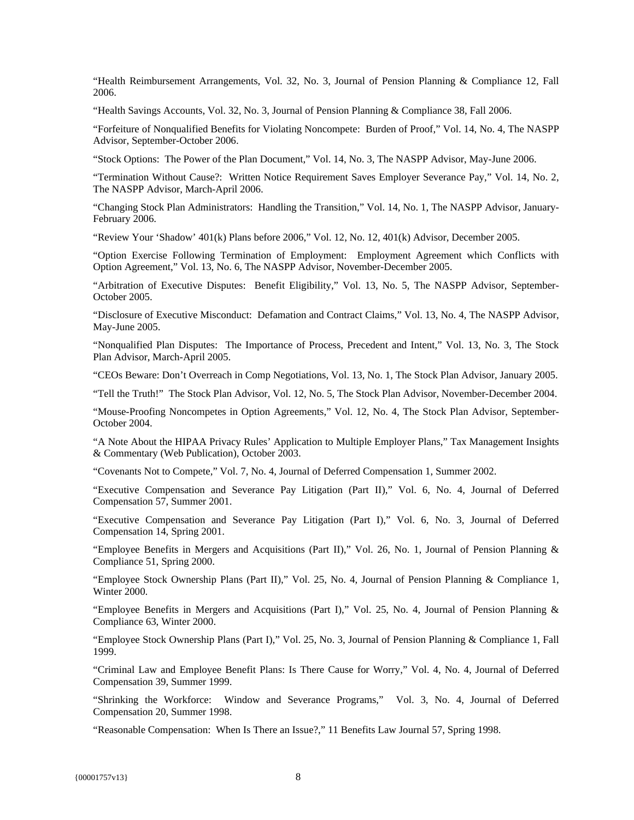"Health Reimbursement Arrangements, Vol. 32, No. 3, Journal of Pension Planning & Compliance 12, Fall 2006.

"Health Savings Accounts, Vol. 32, No. 3, Journal of Pension Planning & Compliance 38, Fall 2006.

"Forfeiture of Nonqualified Benefits for Violating Noncompete: Burden of Proof," Vol. 14, No. 4, The NASPP Advisor, September-October 2006.

"Stock Options: The Power of the Plan Document," Vol. 14, No. 3, The NASPP Advisor, May-June 2006.

"Termination Without Cause?: Written Notice Requirement Saves Employer Severance Pay," Vol. 14, No. 2, The NASPP Advisor, March-April 2006.

"Changing Stock Plan Administrators: Handling the Transition," Vol. 14, No. 1, The NASPP Advisor, January-February 2006.

"Review Your 'Shadow' 401(k) Plans before 2006," Vol. 12, No. 12, 401(k) Advisor, December 2005.

"Option Exercise Following Termination of Employment: Employment Agreement which Conflicts with Option Agreement," Vol. 13, No. 6, The NASPP Advisor, November-December 2005.

"Arbitration of Executive Disputes: Benefit Eligibility," Vol. 13, No. 5, The NASPP Advisor, September-October 2005.

"Disclosure of Executive Misconduct: Defamation and Contract Claims," Vol. 13, No. 4, The NASPP Advisor, May-June 2005.

"Nonqualified Plan Disputes: The Importance of Process, Precedent and Intent," Vol. 13, No. 3, The Stock Plan Advisor, March-April 2005.

"CEOs Beware: Don't Overreach in Comp Negotiations, Vol. 13, No. 1, The Stock Plan Advisor, January 2005.

"Tell the Truth!" The Stock Plan Advisor, Vol. 12, No. 5, The Stock Plan Advisor, November-December 2004.

"Mouse-Proofing Noncompetes in Option Agreements," Vol. 12, No. 4, The Stock Plan Advisor, September-October 2004.

"A Note About the HIPAA Privacy Rules' Application to Multiple Employer Plans," Tax Management Insights & Commentary (Web Publication), October 2003.

"Covenants Not to Compete," Vol. 7, No. 4, Journal of Deferred Compensation 1, Summer 2002.

"Executive Compensation and Severance Pay Litigation (Part II)," Vol. 6, No. 4, Journal of Deferred Compensation 57, Summer 2001.

"Executive Compensation and Severance Pay Litigation (Part I)," Vol. 6, No. 3, Journal of Deferred Compensation 14, Spring 2001.

"Employee Benefits in Mergers and Acquisitions (Part II)," Vol. 26, No. 1, Journal of Pension Planning & Compliance 51, Spring 2000.

"Employee Stock Ownership Plans (Part II)," Vol. 25, No. 4, Journal of Pension Planning & Compliance 1, Winter 2000.

"Employee Benefits in Mergers and Acquisitions (Part I)," Vol. 25, No. 4, Journal of Pension Planning & Compliance 63, Winter 2000.

"Employee Stock Ownership Plans (Part I)," Vol. 25, No. 3, Journal of Pension Planning & Compliance 1, Fall 1999.

"Criminal Law and Employee Benefit Plans: Is There Cause for Worry," Vol. 4, No. 4, Journal of Deferred Compensation 39, Summer 1999.

"Shrinking the Workforce: Window and Severance Programs," Vol. 3, No. 4, Journal of Deferred Compensation 20, Summer 1998.

"Reasonable Compensation: When Is There an Issue?," 11 Benefits Law Journal 57, Spring 1998.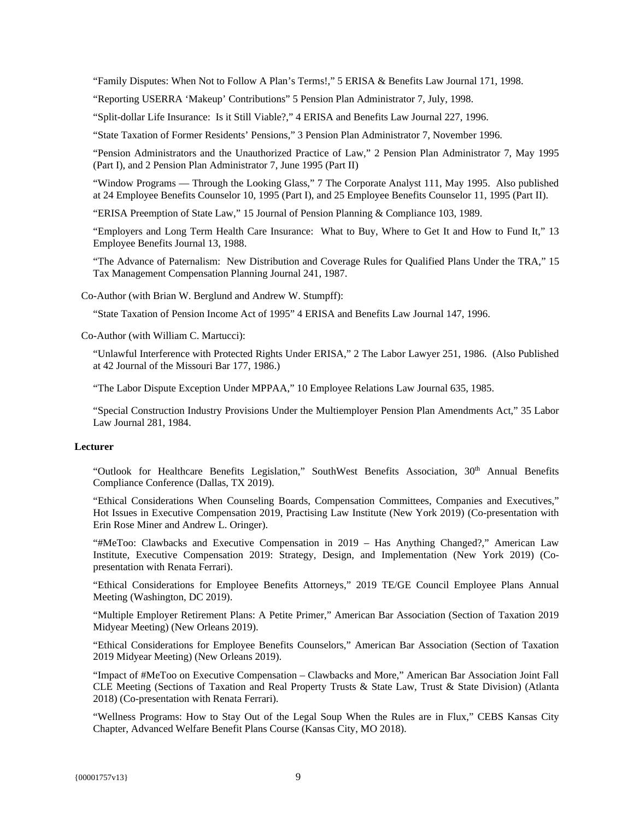"Family Disputes: When Not to Follow A Plan's Terms!," 5 ERISA & Benefits Law Journal 171, 1998.

"Reporting USERRA 'Makeup' Contributions" 5 Pension Plan Administrator 7, July, 1998.

"Split-dollar Life Insurance: Is it Still Viable?," 4 ERISA and Benefits Law Journal 227, 1996.

"State Taxation of Former Residents' Pensions," 3 Pension Plan Administrator 7, November 1996.

"Pension Administrators and the Unauthorized Practice of Law," 2 Pension Plan Administrator 7, May 1995 (Part I), and 2 Pension Plan Administrator 7, June 1995 (Part II)

"Window Programs — Through the Looking Glass," 7 The Corporate Analyst 111, May 1995. Also published at 24 Employee Benefits Counselor 10, 1995 (Part I), and 25 Employee Benefits Counselor 11, 1995 (Part II).

"ERISA Preemption of State Law," 15 Journal of Pension Planning & Compliance 103, 1989.

"Employers and Long Term Health Care Insurance: What to Buy, Where to Get It and How to Fund It," 13 Employee Benefits Journal 13, 1988.

"The Advance of Paternalism: New Distribution and Coverage Rules for Qualified Plans Under the TRA," 15 Tax Management Compensation Planning Journal 241, 1987.

Co-Author (with Brian W. Berglund and Andrew W. Stumpff):

"State Taxation of Pension Income Act of 1995" 4 ERISA and Benefits Law Journal 147, 1996.

Co-Author (with William C. Martucci):

"Unlawful Interference with Protected Rights Under ERISA," 2 The Labor Lawyer 251, 1986. (Also Published at 42 Journal of the Missouri Bar 177, 1986.)

"The Labor Dispute Exception Under MPPAA," 10 Employee Relations Law Journal 635, 1985.

"Special Construction Industry Provisions Under the Multiemployer Pension Plan Amendments Act," 35 Labor Law Journal 281, 1984.

### **Lecturer**

"Outlook for Healthcare Benefits Legislation," SouthWest Benefits Association, 30<sup>th</sup> Annual Benefits Compliance Conference (Dallas, TX 2019).

"Ethical Considerations When Counseling Boards, Compensation Committees, Companies and Executives," Hot Issues in Executive Compensation 2019, Practising Law Institute (New York 2019) (Co-presentation with Erin Rose Miner and Andrew L. Oringer).

"#MeToo: Clawbacks and Executive Compensation in 2019 – Has Anything Changed?," American Law Institute, Executive Compensation 2019: Strategy, Design, and Implementation (New York 2019) (Copresentation with Renata Ferrari).

"Ethical Considerations for Employee Benefits Attorneys," 2019 TE/GE Council Employee Plans Annual Meeting (Washington, DC 2019).

"Multiple Employer Retirement Plans: A Petite Primer," American Bar Association (Section of Taxation 2019 Midyear Meeting) (New Orleans 2019).

"Ethical Considerations for Employee Benefits Counselors," American Bar Association (Section of Taxation 2019 Midyear Meeting) (New Orleans 2019).

"Impact of #MeToo on Executive Compensation – Clawbacks and More," American Bar Association Joint Fall CLE Meeting (Sections of Taxation and Real Property Trusts & State Law, Trust & State Division) (Atlanta 2018) (Co-presentation with Renata Ferrari).

"Wellness Programs: How to Stay Out of the Legal Soup When the Rules are in Flux," CEBS Kansas City Chapter, Advanced Welfare Benefit Plans Course (Kansas City, MO 2018).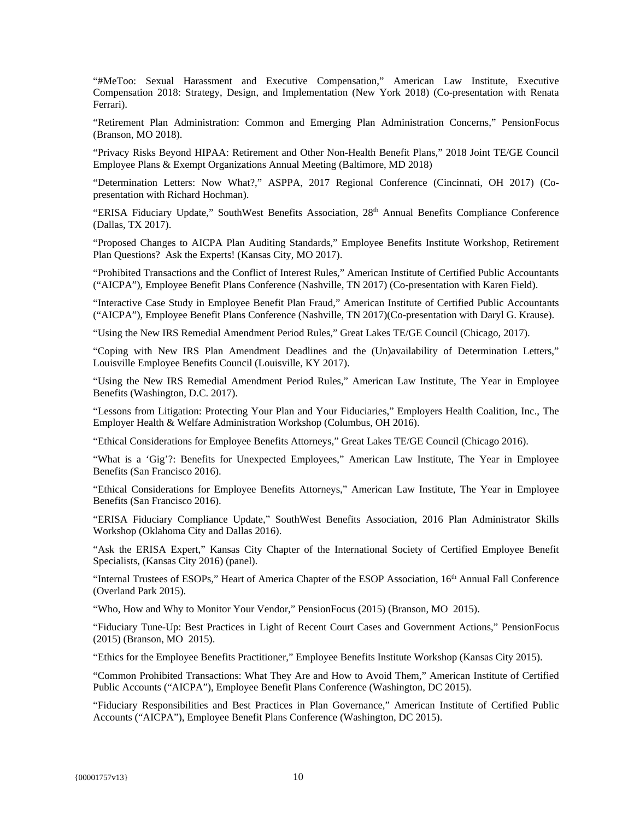"#MeToo: Sexual Harassment and Executive Compensation," American Law Institute, Executive Compensation 2018: Strategy, Design, and Implementation (New York 2018) (Co-presentation with Renata Ferrari).

"Retirement Plan Administration: Common and Emerging Plan Administration Concerns," PensionFocus (Branson, MO 2018).

"Privacy Risks Beyond HIPAA: Retirement and Other Non-Health Benefit Plans," 2018 Joint TE/GE Council Employee Plans & Exempt Organizations Annual Meeting (Baltimore, MD 2018)

"Determination Letters: Now What?," ASPPA, 2017 Regional Conference (Cincinnati, OH 2017) (Copresentation with Richard Hochman).

"ERISA Fiduciary Update," SouthWest Benefits Association, 28<sup>th</sup> Annual Benefits Compliance Conference (Dallas, TX 2017).

"Proposed Changes to AICPA Plan Auditing Standards," Employee Benefits Institute Workshop, Retirement Plan Questions? Ask the Experts! (Kansas City, MO 2017).

"Prohibited Transactions and the Conflict of Interest Rules," American Institute of Certified Public Accountants ("AICPA"), Employee Benefit Plans Conference (Nashville, TN 2017) (Co-presentation with Karen Field).

"Interactive Case Study in Employee Benefit Plan Fraud," American Institute of Certified Public Accountants ("AICPA"), Employee Benefit Plans Conference (Nashville, TN 2017)(Co-presentation with Daryl G. Krause).

"Using the New IRS Remedial Amendment Period Rules," Great Lakes TE/GE Council (Chicago, 2017).

"Coping with New IRS Plan Amendment Deadlines and the (Un)availability of Determination Letters," Louisville Employee Benefits Council (Louisville, KY 2017).

"Using the New IRS Remedial Amendment Period Rules," American Law Institute, The Year in Employee Benefits (Washington, D.C. 2017).

"Lessons from Litigation: Protecting Your Plan and Your Fiduciaries," Employers Health Coalition, Inc., The Employer Health & Welfare Administration Workshop (Columbus, OH 2016).

"Ethical Considerations for Employee Benefits Attorneys," Great Lakes TE/GE Council (Chicago 2016).

"What is a 'Gig'?: Benefits for Unexpected Employees," American Law Institute, The Year in Employee Benefits (San Francisco 2016).

"Ethical Considerations for Employee Benefits Attorneys," American Law Institute, The Year in Employee Benefits (San Francisco 2016).

"ERISA Fiduciary Compliance Update," SouthWest Benefits Association, 2016 Plan Administrator Skills Workshop (Oklahoma City and Dallas 2016).

"Ask the ERISA Expert," Kansas City Chapter of the International Society of Certified Employee Benefit Specialists, (Kansas City 2016) (panel).

"Internal Trustees of ESOPs," Heart of America Chapter of the ESOP Association, 16th Annual Fall Conference (Overland Park 2015).

"Who, How and Why to Monitor Your Vendor," PensionFocus (2015) (Branson, MO 2015).

"Fiduciary Tune-Up: Best Practices in Light of Recent Court Cases and Government Actions," PensionFocus (2015) (Branson, MO 2015).

"Ethics for the Employee Benefits Practitioner," Employee Benefits Institute Workshop (Kansas City 2015).

"Common Prohibited Transactions: What They Are and How to Avoid Them," American Institute of Certified Public Accounts ("AICPA"), Employee Benefit Plans Conference (Washington, DC 2015).

"Fiduciary Responsibilities and Best Practices in Plan Governance," American Institute of Certified Public Accounts ("AICPA"), Employee Benefit Plans Conference (Washington, DC 2015).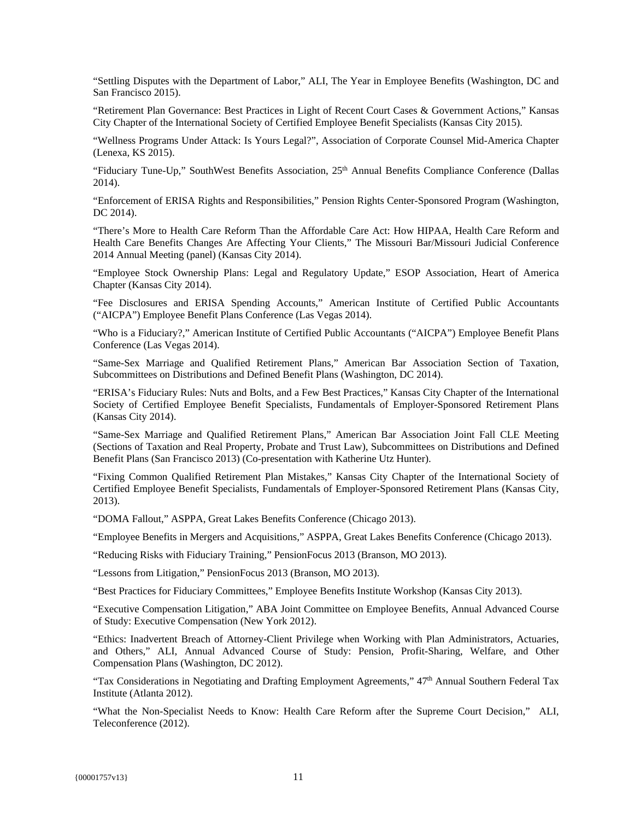"Settling Disputes with the Department of Labor," ALI, The Year in Employee Benefits (Washington, DC and San Francisco 2015).

"Retirement Plan Governance: Best Practices in Light of Recent Court Cases & Government Actions," Kansas City Chapter of the International Society of Certified Employee Benefit Specialists (Kansas City 2015).

"Wellness Programs Under Attack: Is Yours Legal?", Association of Corporate Counsel Mid-America Chapter (Lenexa, KS 2015).

"Fiduciary Tune-Up," SouthWest Benefits Association, 25<sup>th</sup> Annual Benefits Compliance Conference (Dallas 2014).

"Enforcement of ERISA Rights and Responsibilities," Pension Rights Center-Sponsored Program (Washington, DC 2014).

"There's More to Health Care Reform Than the Affordable Care Act: How HIPAA, Health Care Reform and Health Care Benefits Changes Are Affecting Your Clients," The Missouri Bar/Missouri Judicial Conference 2014 Annual Meeting (panel) (Kansas City 2014).

"Employee Stock Ownership Plans: Legal and Regulatory Update," ESOP Association, Heart of America Chapter (Kansas City 2014).

"Fee Disclosures and ERISA Spending Accounts," American Institute of Certified Public Accountants ("AICPA") Employee Benefit Plans Conference (Las Vegas 2014).

"Who is a Fiduciary?," American Institute of Certified Public Accountants ("AICPA") Employee Benefit Plans Conference (Las Vegas 2014).

"Same-Sex Marriage and Qualified Retirement Plans," American Bar Association Section of Taxation, Subcommittees on Distributions and Defined Benefit Plans (Washington, DC 2014).

"ERISA's Fiduciary Rules: Nuts and Bolts, and a Few Best Practices," Kansas City Chapter of the International Society of Certified Employee Benefit Specialists, Fundamentals of Employer-Sponsored Retirement Plans (Kansas City 2014).

"Same-Sex Marriage and Qualified Retirement Plans," American Bar Association Joint Fall CLE Meeting (Sections of Taxation and Real Property, Probate and Trust Law), Subcommittees on Distributions and Defined Benefit Plans (San Francisco 2013) (Co-presentation with Katherine Utz Hunter).

"Fixing Common Qualified Retirement Plan Mistakes," Kansas City Chapter of the International Society of Certified Employee Benefit Specialists, Fundamentals of Employer-Sponsored Retirement Plans (Kansas City, 2013).

"DOMA Fallout," ASPPA, Great Lakes Benefits Conference (Chicago 2013).

"Employee Benefits in Mergers and Acquisitions," ASPPA, Great Lakes Benefits Conference (Chicago 2013).

"Reducing Risks with Fiduciary Training," PensionFocus 2013 (Branson, MO 2013).

"Lessons from Litigation," PensionFocus 2013 (Branson, MO 2013).

"Best Practices for Fiduciary Committees," Employee Benefits Institute Workshop (Kansas City 2013).

"Executive Compensation Litigation," ABA Joint Committee on Employee Benefits, Annual Advanced Course of Study: Executive Compensation (New York 2012).

"Ethics: Inadvertent Breach of Attorney-Client Privilege when Working with Plan Administrators, Actuaries, and Others," ALI, Annual Advanced Course of Study: Pension, Profit-Sharing, Welfare, and Other Compensation Plans (Washington, DC 2012).

"Tax Considerations in Negotiating and Drafting Employment Agreements,"  $47<sup>th</sup>$  Annual Southern Federal Tax Institute (Atlanta 2012).

"What the Non-Specialist Needs to Know: Health Care Reform after the Supreme Court Decision," ALI, Teleconference (2012).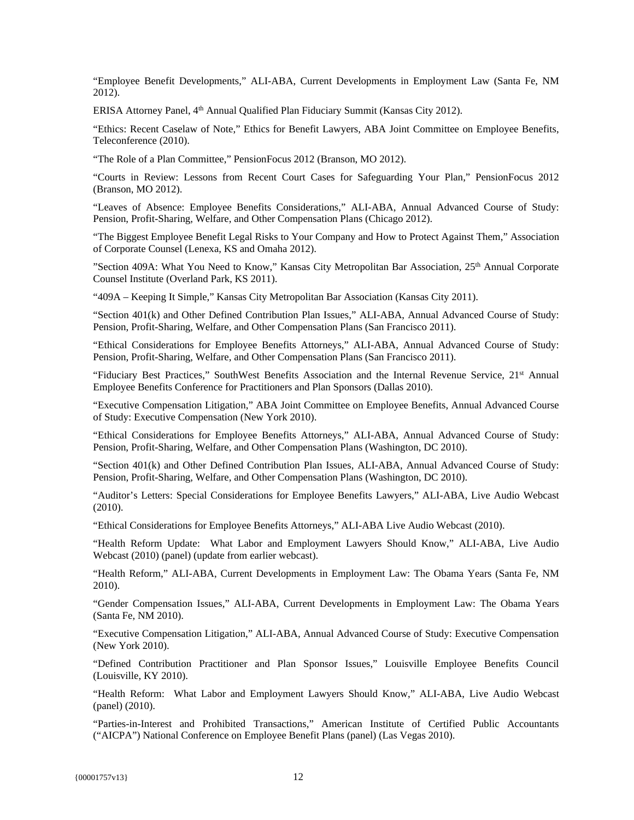"Employee Benefit Developments," ALI-ABA, Current Developments in Employment Law (Santa Fe, NM 2012).

ERISA Attorney Panel, 4th Annual Qualified Plan Fiduciary Summit (Kansas City 2012).

"Ethics: Recent Caselaw of Note," Ethics for Benefit Lawyers, ABA Joint Committee on Employee Benefits, Teleconference (2010).

"The Role of a Plan Committee," PensionFocus 2012 (Branson, MO 2012).

"Courts in Review: Lessons from Recent Court Cases for Safeguarding Your Plan," PensionFocus 2012 (Branson, MO 2012).

"Leaves of Absence: Employee Benefits Considerations," ALI-ABA, Annual Advanced Course of Study: Pension, Profit-Sharing, Welfare, and Other Compensation Plans (Chicago 2012).

"The Biggest Employee Benefit Legal Risks to Your Company and How to Protect Against Them," Association of Corporate Counsel (Lenexa, KS and Omaha 2012).

"Section 409A: What You Need to Know," Kansas City Metropolitan Bar Association, 25<sup>th</sup> Annual Corporate Counsel Institute (Overland Park, KS 2011).

"409A – Keeping It Simple," Kansas City Metropolitan Bar Association (Kansas City 2011).

"Section 401(k) and Other Defined Contribution Plan Issues," ALI-ABA, Annual Advanced Course of Study: Pension, Profit-Sharing, Welfare, and Other Compensation Plans (San Francisco 2011).

"Ethical Considerations for Employee Benefits Attorneys," ALI-ABA, Annual Advanced Course of Study: Pension, Profit-Sharing, Welfare, and Other Compensation Plans (San Francisco 2011).

"Fiduciary Best Practices," SouthWest Benefits Association and the Internal Revenue Service, 21st Annual Employee Benefits Conference for Practitioners and Plan Sponsors (Dallas 2010).

"Executive Compensation Litigation," ABA Joint Committee on Employee Benefits, Annual Advanced Course of Study: Executive Compensation (New York 2010).

"Ethical Considerations for Employee Benefits Attorneys," ALI-ABA, Annual Advanced Course of Study: Pension, Profit-Sharing, Welfare, and Other Compensation Plans (Washington, DC 2010).

"Section 401(k) and Other Defined Contribution Plan Issues, ALI-ABA, Annual Advanced Course of Study: Pension, Profit-Sharing, Welfare, and Other Compensation Plans (Washington, DC 2010).

"Auditor's Letters: Special Considerations for Employee Benefits Lawyers," ALI-ABA, Live Audio Webcast (2010).

"Ethical Considerations for Employee Benefits Attorneys," ALI-ABA Live Audio Webcast (2010).

"Health Reform Update: What Labor and Employment Lawyers Should Know," ALI-ABA, Live Audio Webcast (2010) (panel) (update from earlier webcast).

"Health Reform," ALI-ABA, Current Developments in Employment Law: The Obama Years (Santa Fe, NM 2010).

"Gender Compensation Issues," ALI-ABA, Current Developments in Employment Law: The Obama Years (Santa Fe, NM 2010).

"Executive Compensation Litigation," ALI-ABA, Annual Advanced Course of Study: Executive Compensation (New York 2010).

"Defined Contribution Practitioner and Plan Sponsor Issues," Louisville Employee Benefits Council (Louisville, KY 2010).

"Health Reform: What Labor and Employment Lawyers Should Know," ALI-ABA, Live Audio Webcast (panel) (2010).

"Parties-in-Interest and Prohibited Transactions," American Institute of Certified Public Accountants ("AICPA") National Conference on Employee Benefit Plans (panel) (Las Vegas 2010).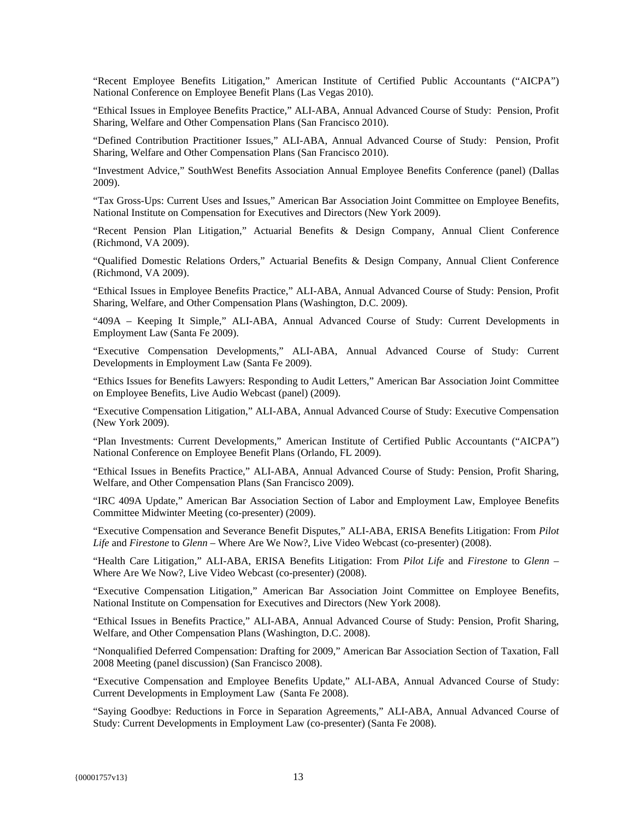"Recent Employee Benefits Litigation," American Institute of Certified Public Accountants ("AICPA") National Conference on Employee Benefit Plans (Las Vegas 2010).

"Ethical Issues in Employee Benefits Practice," ALI-ABA, Annual Advanced Course of Study: Pension, Profit Sharing, Welfare and Other Compensation Plans (San Francisco 2010).

"Defined Contribution Practitioner Issues," ALI-ABA, Annual Advanced Course of Study: Pension, Profit Sharing, Welfare and Other Compensation Plans (San Francisco 2010).

"Investment Advice," SouthWest Benefits Association Annual Employee Benefits Conference (panel) (Dallas 2009).

"Tax Gross-Ups: Current Uses and Issues," American Bar Association Joint Committee on Employee Benefits, National Institute on Compensation for Executives and Directors (New York 2009).

"Recent Pension Plan Litigation," Actuarial Benefits & Design Company, Annual Client Conference (Richmond, VA 2009).

"Qualified Domestic Relations Orders," Actuarial Benefits & Design Company, Annual Client Conference (Richmond, VA 2009).

"Ethical Issues in Employee Benefits Practice," ALI-ABA, Annual Advanced Course of Study: Pension, Profit Sharing, Welfare, and Other Compensation Plans (Washington, D.C. 2009).

"409A – Keeping It Simple," ALI-ABA, Annual Advanced Course of Study: Current Developments in Employment Law (Santa Fe 2009).

"Executive Compensation Developments," ALI-ABA, Annual Advanced Course of Study: Current Developments in Employment Law (Santa Fe 2009).

"Ethics Issues for Benefits Lawyers: Responding to Audit Letters," American Bar Association Joint Committee on Employee Benefits, Live Audio Webcast (panel) (2009).

"Executive Compensation Litigation," ALI-ABA, Annual Advanced Course of Study: Executive Compensation (New York 2009).

"Plan Investments: Current Developments," American Institute of Certified Public Accountants ("AICPA") National Conference on Employee Benefit Plans (Orlando, FL 2009).

"Ethical Issues in Benefits Practice," ALI-ABA, Annual Advanced Course of Study: Pension, Profit Sharing, Welfare, and Other Compensation Plans (San Francisco 2009).

"IRC 409A Update," American Bar Association Section of Labor and Employment Law, Employee Benefits Committee Midwinter Meeting (co-presenter) (2009).

"Executive Compensation and Severance Benefit Disputes," ALI-ABA, ERISA Benefits Litigation: From *Pilot Life* and *Firestone* to *Glenn* – Where Are We Now?, Live Video Webcast (co-presenter) (2008).

"Health Care Litigation," ALI-ABA, ERISA Benefits Litigation: From *Pilot Life* and *Firestone* to *Glenn* – Where Are We Now?, Live Video Webcast (co-presenter) (2008).

"Executive Compensation Litigation," American Bar Association Joint Committee on Employee Benefits, National Institute on Compensation for Executives and Directors (New York 2008).

"Ethical Issues in Benefits Practice," ALI-ABA, Annual Advanced Course of Study: Pension, Profit Sharing, Welfare, and Other Compensation Plans (Washington, D.C. 2008).

"Nonqualified Deferred Compensation: Drafting for 2009," American Bar Association Section of Taxation, Fall 2008 Meeting (panel discussion) (San Francisco 2008).

"Executive Compensation and Employee Benefits Update," ALI-ABA, Annual Advanced Course of Study: Current Developments in Employment Law (Santa Fe 2008).

"Saying Goodbye: Reductions in Force in Separation Agreements," ALI-ABA, Annual Advanced Course of Study: Current Developments in Employment Law (co-presenter) (Santa Fe 2008).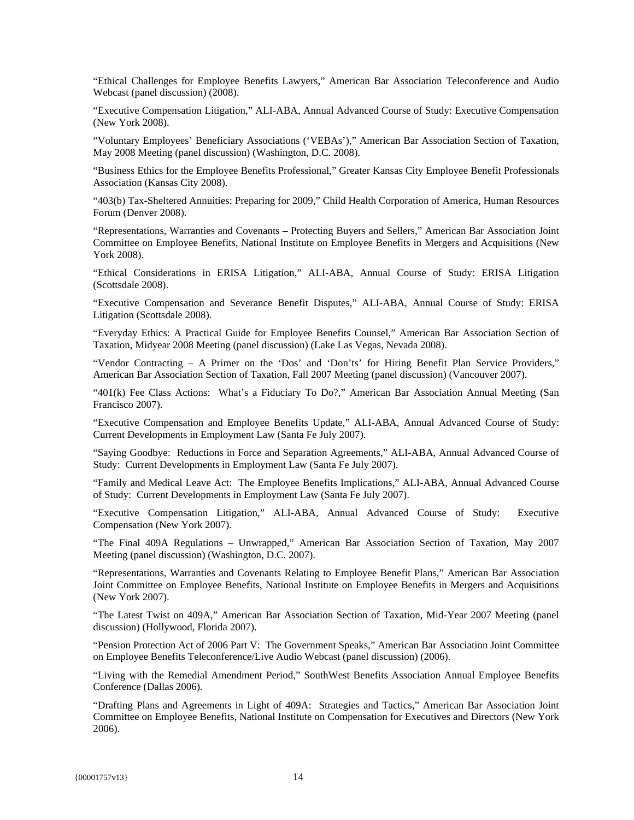"Ethical Challenges for Employee Benefits Lawyers," American Bar Association Teleconference and Audio Webcast (panel discussion) (2008).

"Executive Compensation Litigation," ALI-ABA, Annual Advanced Course of Study: Executive Compensation (New York 2008).

"Voluntary Employees' Beneficiary Associations ('VEBAs')," American Bar Association Section of Taxation, May 2008 Meeting (panel discussion) (Washington, D.C. 2008).

"Business Ethics for the Employee Benefits Professional," Greater Kansas City Employee Benefit Professionals Association (Kansas City 2008).

"403(b) Tax-Sheltered Annuities: Preparing for 2009," Child Health Corporation of America, Human Resources Forum (Denver 2008).

"Representations, Warranties and Covenants – Protecting Buyers and Sellers," American Bar Association Joint Committee on Employee Benefits, National Institute on Employee Benefits in Mergers and Acquisitions (New York 2008).

"Ethical Considerations in ERISA Litigation," ALI-ABA, Annual Course of Study: ERISA Litigation (Scottsdale 2008).

"Executive Compensation and Severance Benefit Disputes," ALI-ABA, Annual Course of Study: ERISA Litigation (Scottsdale 2008).

"Everyday Ethics: A Practical Guide for Employee Benefits Counsel," American Bar Association Section of Taxation, Midyear 2008 Meeting (panel discussion) (Lake Las Vegas, Nevada 2008).

"Vendor Contracting – A Primer on the 'Dos' and 'Don'ts' for Hiring Benefit Plan Service Providers," American Bar Association Section of Taxation, Fall 2007 Meeting (panel discussion) (Vancouver 2007).

"401(k) Fee Class Actions: What's a Fiduciary To Do?," American Bar Association Annual Meeting (San Francisco 2007).

"Executive Compensation and Employee Benefits Update," ALI-ABA, Annual Advanced Course of Study: Current Developments in Employment Law (Santa Fe July 2007).

"Saying Goodbye: Reductions in Force and Separation Agreements," ALI-ABA, Annual Advanced Course of Study: Current Developments in Employment Law (Santa Fe July 2007).

"Family and Medical Leave Act: The Employee Benefits Implications," ALI-ABA, Annual Advanced Course of Study: Current Developments in Employment Law (Santa Fe July 2007).

"Executive Compensation Litigation," ALI-ABA, Annual Advanced Course of Study: Executive Compensation (New York 2007).

"The Final 409A Regulations – Unwrapped," American Bar Association Section of Taxation, May 2007 Meeting (panel discussion) (Washington, D.C. 2007).

"Representations, Warranties and Covenants Relating to Employee Benefit Plans," American Bar Association Joint Committee on Employee Benefits, National Institute on Employee Benefits in Mergers and Acquisitions (New York 2007).

"The Latest Twist on 409A," American Bar Association Section of Taxation, Mid-Year 2007 Meeting (panel discussion) (Hollywood, Florida 2007).

"Pension Protection Act of 2006 Part V: The Government Speaks," American Bar Association Joint Committee on Employee Benefits Teleconference/Live Audio Webcast (panel discussion) (2006).

"Living with the Remedial Amendment Period," SouthWest Benefits Association Annual Employee Benefits Conference (Dallas 2006).

"Drafting Plans and Agreements in Light of 409A: Strategies and Tactics," American Bar Association Joint Committee on Employee Benefits, National Institute on Compensation for Executives and Directors (New York 2006).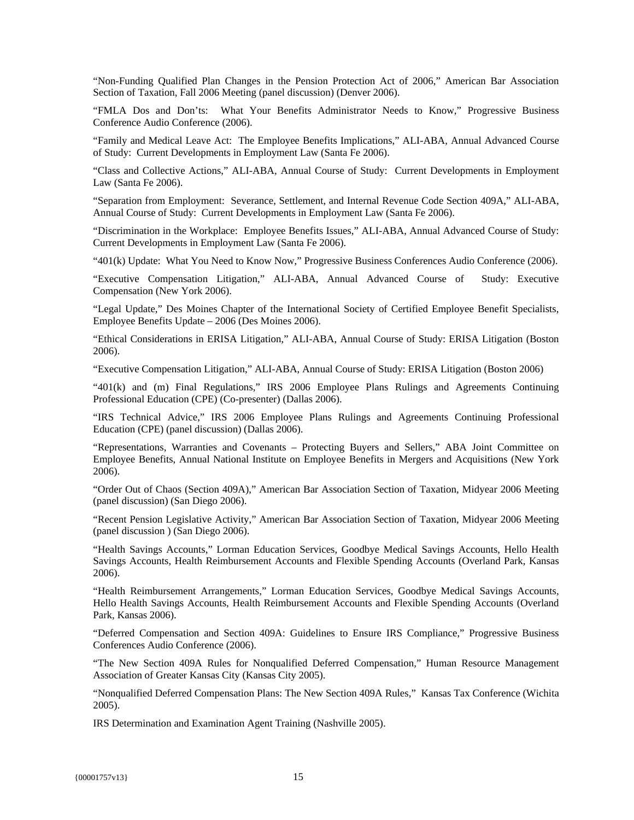"Non-Funding Qualified Plan Changes in the Pension Protection Act of 2006," American Bar Association Section of Taxation, Fall 2006 Meeting (panel discussion) (Denver 2006).

"FMLA Dos and Don'ts: What Your Benefits Administrator Needs to Know," Progressive Business Conference Audio Conference (2006).

"Family and Medical Leave Act: The Employee Benefits Implications," ALI-ABA, Annual Advanced Course of Study: Current Developments in Employment Law (Santa Fe 2006).

"Class and Collective Actions," ALI-ABA, Annual Course of Study: Current Developments in Employment Law (Santa Fe 2006).

"Separation from Employment: Severance, Settlement, and Internal Revenue Code Section 409A," ALI-ABA, Annual Course of Study: Current Developments in Employment Law (Santa Fe 2006).

"Discrimination in the Workplace: Employee Benefits Issues," ALI-ABA, Annual Advanced Course of Study: Current Developments in Employment Law (Santa Fe 2006).

"401(k) Update: What You Need to Know Now," Progressive Business Conferences Audio Conference (2006).

"Executive Compensation Litigation," ALI-ABA, Annual Advanced Course of Study: Executive Compensation (New York 2006).

"Legal Update," Des Moines Chapter of the International Society of Certified Employee Benefit Specialists, Employee Benefits Update – 2006 (Des Moines 2006).

"Ethical Considerations in ERISA Litigation," ALI-ABA, Annual Course of Study: ERISA Litigation (Boston 2006).

"Executive Compensation Litigation," ALI-ABA, Annual Course of Study: ERISA Litigation (Boston 2006)

"401(k) and (m) Final Regulations," IRS 2006 Employee Plans Rulings and Agreements Continuing Professional Education (CPE) (Co-presenter) (Dallas 2006).

"IRS Technical Advice," IRS 2006 Employee Plans Rulings and Agreements Continuing Professional Education (CPE) (panel discussion) (Dallas 2006).

"Representations, Warranties and Covenants – Protecting Buyers and Sellers," ABA Joint Committee on Employee Benefits, Annual National Institute on Employee Benefits in Mergers and Acquisitions (New York 2006).

"Order Out of Chaos (Section 409A)," American Bar Association Section of Taxation, Midyear 2006 Meeting (panel discussion) (San Diego 2006).

"Recent Pension Legislative Activity," American Bar Association Section of Taxation, Midyear 2006 Meeting (panel discussion ) (San Diego 2006).

"Health Savings Accounts," Lorman Education Services, Goodbye Medical Savings Accounts, Hello Health Savings Accounts, Health Reimbursement Accounts and Flexible Spending Accounts (Overland Park, Kansas 2006).

"Health Reimbursement Arrangements," Lorman Education Services, Goodbye Medical Savings Accounts, Hello Health Savings Accounts, Health Reimbursement Accounts and Flexible Spending Accounts (Overland Park, Kansas 2006).

"Deferred Compensation and Section 409A: Guidelines to Ensure IRS Compliance," Progressive Business Conferences Audio Conference (2006).

"The New Section 409A Rules for Nonqualified Deferred Compensation," Human Resource Management Association of Greater Kansas City (Kansas City 2005).

"Nonqualified Deferred Compensation Plans: The New Section 409A Rules," Kansas Tax Conference (Wichita 2005).

IRS Determination and Examination Agent Training (Nashville 2005).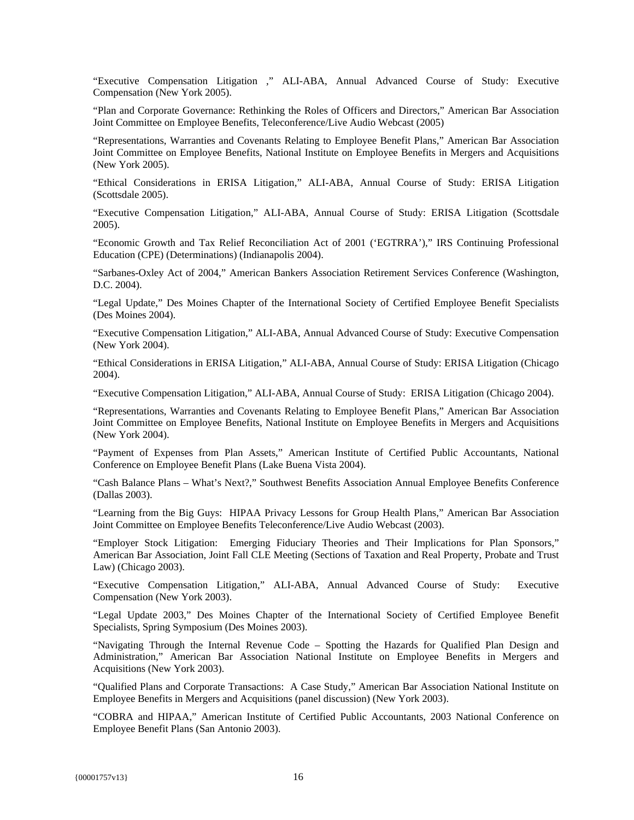"Executive Compensation Litigation ," ALI-ABA, Annual Advanced Course of Study: Executive Compensation (New York 2005).

"Plan and Corporate Governance: Rethinking the Roles of Officers and Directors," American Bar Association Joint Committee on Employee Benefits, Teleconference/Live Audio Webcast (2005)

"Representations, Warranties and Covenants Relating to Employee Benefit Plans," American Bar Association Joint Committee on Employee Benefits, National Institute on Employee Benefits in Mergers and Acquisitions (New York 2005).

"Ethical Considerations in ERISA Litigation," ALI-ABA, Annual Course of Study: ERISA Litigation (Scottsdale 2005).

"Executive Compensation Litigation," ALI-ABA, Annual Course of Study: ERISA Litigation (Scottsdale 2005).

"Economic Growth and Tax Relief Reconciliation Act of 2001 ('EGTRRA')," IRS Continuing Professional Education (CPE) (Determinations) (Indianapolis 2004).

"Sarbanes-Oxley Act of 2004," American Bankers Association Retirement Services Conference (Washington, D.C. 2004).

"Legal Update," Des Moines Chapter of the International Society of Certified Employee Benefit Specialists (Des Moines 2004).

"Executive Compensation Litigation," ALI-ABA, Annual Advanced Course of Study: Executive Compensation (New York 2004).

"Ethical Considerations in ERISA Litigation," ALI-ABA, Annual Course of Study: ERISA Litigation (Chicago 2004).

"Executive Compensation Litigation," ALI-ABA, Annual Course of Study: ERISA Litigation (Chicago 2004).

"Representations, Warranties and Covenants Relating to Employee Benefit Plans," American Bar Association Joint Committee on Employee Benefits, National Institute on Employee Benefits in Mergers and Acquisitions (New York 2004).

"Payment of Expenses from Plan Assets," American Institute of Certified Public Accountants, National Conference on Employee Benefit Plans (Lake Buena Vista 2004).

"Cash Balance Plans – What's Next?," Southwest Benefits Association Annual Employee Benefits Conference (Dallas 2003).

"Learning from the Big Guys: HIPAA Privacy Lessons for Group Health Plans," American Bar Association Joint Committee on Employee Benefits Teleconference/Live Audio Webcast (2003).

"Employer Stock Litigation: Emerging Fiduciary Theories and Their Implications for Plan Sponsors," American Bar Association, Joint Fall CLE Meeting (Sections of Taxation and Real Property, Probate and Trust Law) (Chicago 2003).

"Executive Compensation Litigation," ALI-ABA, Annual Advanced Course of Study: Executive Compensation (New York 2003).

"Legal Update 2003," Des Moines Chapter of the International Society of Certified Employee Benefit Specialists, Spring Symposium (Des Moines 2003).

"Navigating Through the Internal Revenue Code – Spotting the Hazards for Qualified Plan Design and Administration," American Bar Association National Institute on Employee Benefits in Mergers and Acquisitions (New York 2003).

"Qualified Plans and Corporate Transactions: A Case Study," American Bar Association National Institute on Employee Benefits in Mergers and Acquisitions (panel discussion) (New York 2003).

"COBRA and HIPAA," American Institute of Certified Public Accountants, 2003 National Conference on Employee Benefit Plans (San Antonio 2003).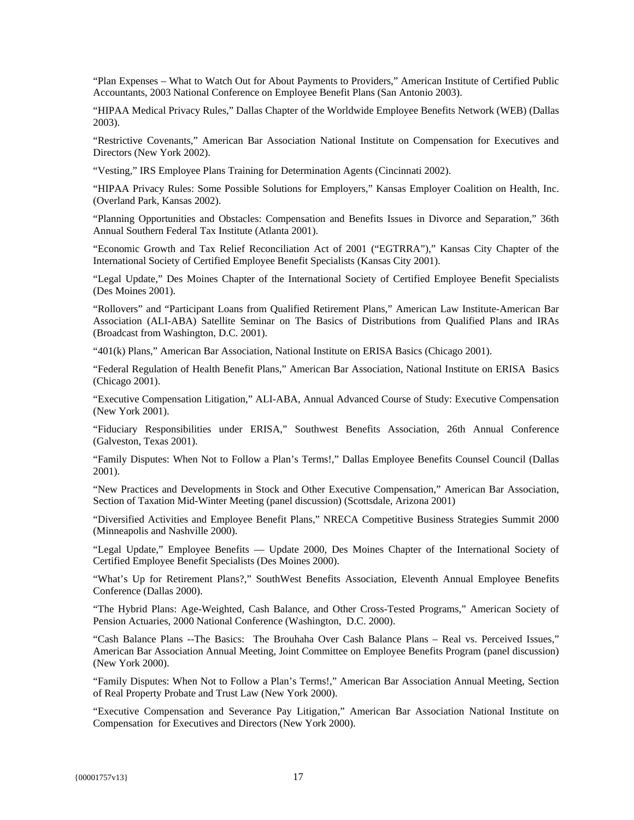"Plan Expenses – What to Watch Out for About Payments to Providers," American Institute of Certified Public Accountants, 2003 National Conference on Employee Benefit Plans (San Antonio 2003).

"HIPAA Medical Privacy Rules," Dallas Chapter of the Worldwide Employee Benefits Network (WEB) (Dallas 2003).

"Restrictive Covenants," American Bar Association National Institute on Compensation for Executives and Directors (New York 2002).

"Vesting," IRS Employee Plans Training for Determination Agents (Cincinnati 2002).

"HIPAA Privacy Rules: Some Possible Solutions for Employers," Kansas Employer Coalition on Health, Inc. (Overland Park, Kansas 2002).

"Planning Opportunities and Obstacles: Compensation and Benefits Issues in Divorce and Separation," 36th Annual Southern Federal Tax Institute (Atlanta 2001).

"Economic Growth and Tax Relief Reconciliation Act of 2001 ("EGTRRA")," Kansas City Chapter of the International Society of Certified Employee Benefit Specialists (Kansas City 2001).

"Legal Update," Des Moines Chapter of the International Society of Certified Employee Benefit Specialists (Des Moines 2001).

"Rollovers" and "Participant Loans from Qualified Retirement Plans," American Law Institute-American Bar Association (ALI-ABA) Satellite Seminar on The Basics of Distributions from Qualified Plans and IRAs (Broadcast from Washington, D.C. 2001).

"401(k) Plans," American Bar Association, National Institute on ERISA Basics (Chicago 2001).

"Federal Regulation of Health Benefit Plans," American Bar Association, National Institute on ERISA Basics (Chicago 2001).

"Executive Compensation Litigation," ALI-ABA, Annual Advanced Course of Study: Executive Compensation (New York 2001).

"Fiduciary Responsibilities under ERISA," Southwest Benefits Association, 26th Annual Conference (Galveston, Texas 2001).

"Family Disputes: When Not to Follow a Plan's Terms!," Dallas Employee Benefits Counsel Council (Dallas 2001).

"New Practices and Developments in Stock and Other Executive Compensation," American Bar Association, Section of Taxation Mid-Winter Meeting (panel discussion) (Scottsdale, Arizona 2001)

"Diversified Activities and Employee Benefit Plans," NRECA Competitive Business Strategies Summit 2000 (Minneapolis and Nashville 2000).

"Legal Update," Employee Benefits — Update 2000, Des Moines Chapter of the International Society of Certified Employee Benefit Specialists (Des Moines 2000).

"What's Up for Retirement Plans?," SouthWest Benefits Association, Eleventh Annual Employee Benefits Conference (Dallas 2000).

"The Hybrid Plans: Age-Weighted, Cash Balance, and Other Cross-Tested Programs," American Society of Pension Actuaries, 2000 National Conference (Washington, D.C. 2000).

"Cash Balance Plans --The Basics: The Brouhaha Over Cash Balance Plans – Real vs. Perceived Issues," American Bar Association Annual Meeting, Joint Committee on Employee Benefits Program (panel discussion) (New York 2000).

"Family Disputes: When Not to Follow a Plan's Terms!," American Bar Association Annual Meeting, Section of Real Property Probate and Trust Law (New York 2000).

"Executive Compensation and Severance Pay Litigation," American Bar Association National Institute on Compensation for Executives and Directors (New York 2000).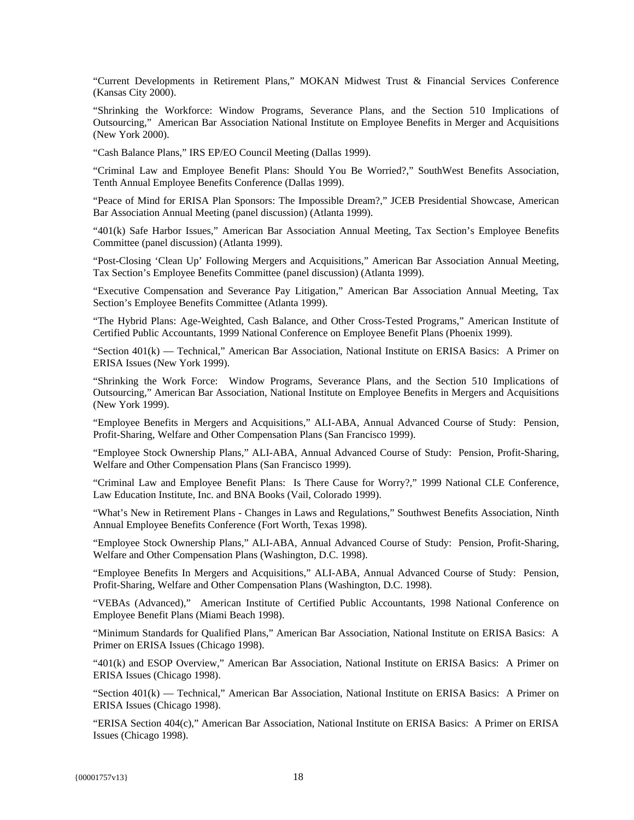"Current Developments in Retirement Plans," MOKAN Midwest Trust & Financial Services Conference (Kansas City 2000).

"Shrinking the Workforce: Window Programs, Severance Plans, and the Section 510 Implications of Outsourcing," American Bar Association National Institute on Employee Benefits in Merger and Acquisitions (New York 2000).

"Cash Balance Plans," IRS EP/EO Council Meeting (Dallas 1999).

"Criminal Law and Employee Benefit Plans: Should You Be Worried?," SouthWest Benefits Association, Tenth Annual Employee Benefits Conference (Dallas 1999).

"Peace of Mind for ERISA Plan Sponsors: The Impossible Dream?," JCEB Presidential Showcase, American Bar Association Annual Meeting (panel discussion) (Atlanta 1999).

"401(k) Safe Harbor Issues," American Bar Association Annual Meeting, Tax Section's Employee Benefits Committee (panel discussion) (Atlanta 1999).

"Post-Closing 'Clean Up' Following Mergers and Acquisitions," American Bar Association Annual Meeting, Tax Section's Employee Benefits Committee (panel discussion) (Atlanta 1999).

"Executive Compensation and Severance Pay Litigation," American Bar Association Annual Meeting, Tax Section's Employee Benefits Committee (Atlanta 1999).

"The Hybrid Plans: Age-Weighted, Cash Balance, and Other Cross-Tested Programs," American Institute of Certified Public Accountants, 1999 National Conference on Employee Benefit Plans (Phoenix 1999).

"Section 401(k) — Technical," American Bar Association, National Institute on ERISA Basics: A Primer on ERISA Issues (New York 1999).

"Shrinking the Work Force: Window Programs, Severance Plans, and the Section 510 Implications of Outsourcing," American Bar Association, National Institute on Employee Benefits in Mergers and Acquisitions (New York 1999).

"Employee Benefits in Mergers and Acquisitions," ALI-ABA, Annual Advanced Course of Study: Pension, Profit-Sharing, Welfare and Other Compensation Plans (San Francisco 1999).

"Employee Stock Ownership Plans," ALI-ABA, Annual Advanced Course of Study: Pension, Profit-Sharing, Welfare and Other Compensation Plans (San Francisco 1999).

"Criminal Law and Employee Benefit Plans: Is There Cause for Worry?," 1999 National CLE Conference, Law Education Institute, Inc. and BNA Books (Vail, Colorado 1999).

"What's New in Retirement Plans - Changes in Laws and Regulations," Southwest Benefits Association, Ninth Annual Employee Benefits Conference (Fort Worth, Texas 1998).

"Employee Stock Ownership Plans," ALI-ABA, Annual Advanced Course of Study: Pension, Profit-Sharing, Welfare and Other Compensation Plans (Washington, D.C. 1998).

"Employee Benefits In Mergers and Acquisitions," ALI-ABA, Annual Advanced Course of Study: Pension, Profit-Sharing, Welfare and Other Compensation Plans (Washington, D.C. 1998).

"VEBAs (Advanced)," American Institute of Certified Public Accountants, 1998 National Conference on Employee Benefit Plans (Miami Beach 1998).

"Minimum Standards for Qualified Plans," American Bar Association, National Institute on ERISA Basics: A Primer on ERISA Issues (Chicago 1998).

"401(k) and ESOP Overview," American Bar Association, National Institute on ERISA Basics: A Primer on ERISA Issues (Chicago 1998).

"Section 401(k) — Technical," American Bar Association, National Institute on ERISA Basics: A Primer on ERISA Issues (Chicago 1998).

"ERISA Section 404(c)," American Bar Association, National Institute on ERISA Basics: A Primer on ERISA Issues (Chicago 1998).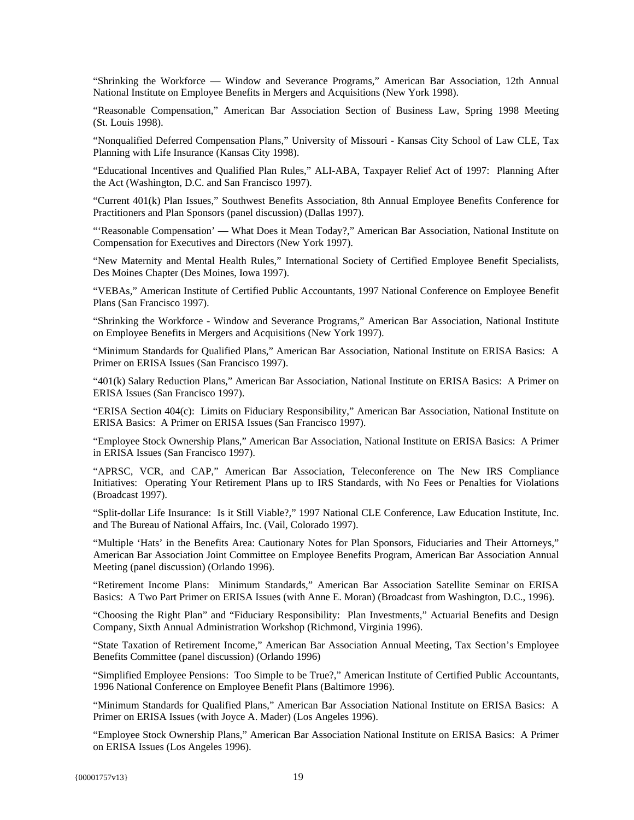"Shrinking the Workforce — Window and Severance Programs," American Bar Association, 12th Annual National Institute on Employee Benefits in Mergers and Acquisitions (New York 1998).

"Reasonable Compensation," American Bar Association Section of Business Law, Spring 1998 Meeting (St. Louis 1998).

"Nonqualified Deferred Compensation Plans," University of Missouri - Kansas City School of Law CLE, Tax Planning with Life Insurance (Kansas City 1998).

"Educational Incentives and Qualified Plan Rules," ALI-ABA, Taxpayer Relief Act of 1997: Planning After the Act (Washington, D.C. and San Francisco 1997).

"Current 401(k) Plan Issues," Southwest Benefits Association, 8th Annual Employee Benefits Conference for Practitioners and Plan Sponsors (panel discussion) (Dallas 1997).

"'Reasonable Compensation' — What Does it Mean Today?," American Bar Association, National Institute on Compensation for Executives and Directors (New York 1997).

"New Maternity and Mental Health Rules," International Society of Certified Employee Benefit Specialists, Des Moines Chapter (Des Moines, Iowa 1997).

"VEBAs," American Institute of Certified Public Accountants, 1997 National Conference on Employee Benefit Plans (San Francisco 1997).

"Shrinking the Workforce - Window and Severance Programs," American Bar Association, National Institute on Employee Benefits in Mergers and Acquisitions (New York 1997).

"Minimum Standards for Qualified Plans," American Bar Association, National Institute on ERISA Basics: A Primer on ERISA Issues (San Francisco 1997).

"401(k) Salary Reduction Plans," American Bar Association, National Institute on ERISA Basics: A Primer on ERISA Issues (San Francisco 1997).

"ERISA Section 404(c): Limits on Fiduciary Responsibility," American Bar Association, National Institute on ERISA Basics: A Primer on ERISA Issues (San Francisco 1997).

"Employee Stock Ownership Plans," American Bar Association, National Institute on ERISA Basics: A Primer in ERISA Issues (San Francisco 1997).

"APRSC, VCR, and CAP," American Bar Association, Teleconference on The New IRS Compliance Initiatives: Operating Your Retirement Plans up to IRS Standards, with No Fees or Penalties for Violations (Broadcast 1997).

"Split-dollar Life Insurance: Is it Still Viable?," 1997 National CLE Conference, Law Education Institute, Inc. and The Bureau of National Affairs, Inc. (Vail, Colorado 1997).

"Multiple 'Hats' in the Benefits Area: Cautionary Notes for Plan Sponsors, Fiduciaries and Their Attorneys," American Bar Association Joint Committee on Employee Benefits Program, American Bar Association Annual Meeting (panel discussion) (Orlando 1996).

"Retirement Income Plans: Minimum Standards," American Bar Association Satellite Seminar on ERISA Basics: A Two Part Primer on ERISA Issues (with Anne E. Moran) (Broadcast from Washington, D.C., 1996).

"Choosing the Right Plan" and "Fiduciary Responsibility: Plan Investments," Actuarial Benefits and Design Company, Sixth Annual Administration Workshop (Richmond, Virginia 1996).

"State Taxation of Retirement Income," American Bar Association Annual Meeting, Tax Section's Employee Benefits Committee (panel discussion) (Orlando 1996)

"Simplified Employee Pensions: Too Simple to be True?," American Institute of Certified Public Accountants, 1996 National Conference on Employee Benefit Plans (Baltimore 1996).

"Minimum Standards for Qualified Plans," American Bar Association National Institute on ERISA Basics: A Primer on ERISA Issues (with Joyce A. Mader) (Los Angeles 1996).

"Employee Stock Ownership Plans," American Bar Association National Institute on ERISA Basics: A Primer on ERISA Issues (Los Angeles 1996).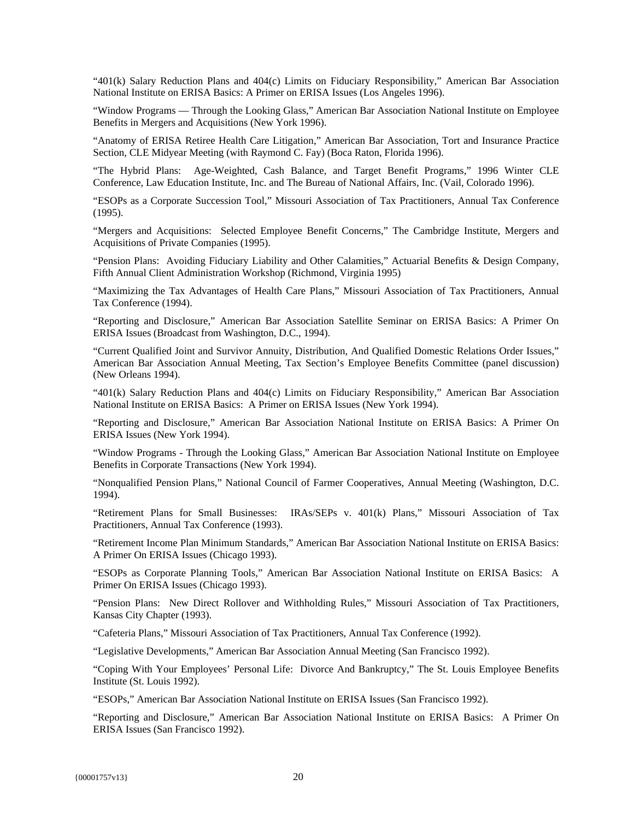"401(k) Salary Reduction Plans and 404(c) Limits on Fiduciary Responsibility," American Bar Association National Institute on ERISA Basics: A Primer on ERISA Issues (Los Angeles 1996).

"Window Programs — Through the Looking Glass," American Bar Association National Institute on Employee Benefits in Mergers and Acquisitions (New York 1996).

"Anatomy of ERISA Retiree Health Care Litigation," American Bar Association, Tort and Insurance Practice Section, CLE Midyear Meeting (with Raymond C. Fay) (Boca Raton, Florida 1996).

"The Hybrid Plans: Age-Weighted, Cash Balance, and Target Benefit Programs," 1996 Winter CLE Conference, Law Education Institute, Inc. and The Bureau of National Affairs, Inc. (Vail, Colorado 1996).

"ESOPs as a Corporate Succession Tool," Missouri Association of Tax Practitioners, Annual Tax Conference (1995).

"Mergers and Acquisitions: Selected Employee Benefit Concerns," The Cambridge Institute, Mergers and Acquisitions of Private Companies (1995).

"Pension Plans: Avoiding Fiduciary Liability and Other Calamities," Actuarial Benefits & Design Company, Fifth Annual Client Administration Workshop (Richmond, Virginia 1995)

"Maximizing the Tax Advantages of Health Care Plans," Missouri Association of Tax Practitioners, Annual Tax Conference (1994).

"Reporting and Disclosure," American Bar Association Satellite Seminar on ERISA Basics: A Primer On ERISA Issues (Broadcast from Washington, D.C., 1994).

"Current Qualified Joint and Survivor Annuity, Distribution, And Qualified Domestic Relations Order Issues," American Bar Association Annual Meeting, Tax Section's Employee Benefits Committee (panel discussion) (New Orleans 1994).

"401(k) Salary Reduction Plans and 404(c) Limits on Fiduciary Responsibility," American Bar Association National Institute on ERISA Basics: A Primer on ERISA Issues (New York 1994).

"Reporting and Disclosure," American Bar Association National Institute on ERISA Basics: A Primer On ERISA Issues (New York 1994).

"Window Programs - Through the Looking Glass," American Bar Association National Institute on Employee Benefits in Corporate Transactions (New York 1994).

"Nonqualified Pension Plans," National Council of Farmer Cooperatives, Annual Meeting (Washington, D.C. 1994).

"Retirement Plans for Small Businesses: IRAs/SEPs v. 401(k) Plans," Missouri Association of Tax Practitioners, Annual Tax Conference (1993).

"Retirement Income Plan Minimum Standards," American Bar Association National Institute on ERISA Basics: A Primer On ERISA Issues (Chicago 1993).

"ESOPs as Corporate Planning Tools," American Bar Association National Institute on ERISA Basics: A Primer On ERISA Issues (Chicago 1993).

"Pension Plans: New Direct Rollover and Withholding Rules," Missouri Association of Tax Practitioners, Kansas City Chapter (1993).

"Cafeteria Plans," Missouri Association of Tax Practitioners, Annual Tax Conference (1992).

"Legislative Developments," American Bar Association Annual Meeting (San Francisco 1992).

"Coping With Your Employees' Personal Life: Divorce And Bankruptcy," The St. Louis Employee Benefits Institute (St. Louis 1992).

"ESOPs," American Bar Association National Institute on ERISA Issues (San Francisco 1992).

"Reporting and Disclosure," American Bar Association National Institute on ERISA Basics: A Primer On ERISA Issues (San Francisco 1992).